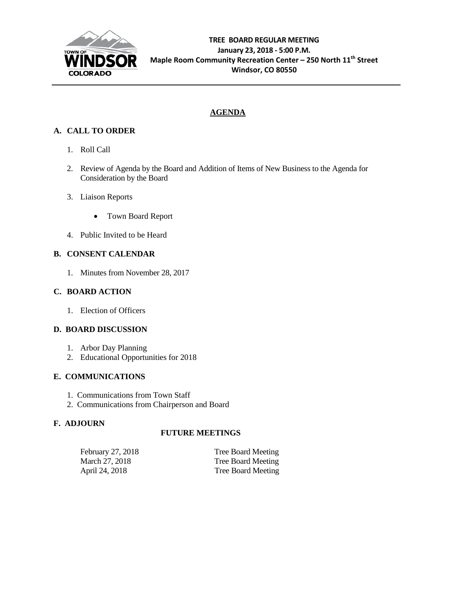

# **AGENDA**

# **A. CALL TO ORDER**

- 1. Roll Call
- 2. Review of Agenda by the Board and Addition of Items of New Business to the Agenda for Consideration by the Board
- 3. Liaison Reports
	- Town Board Report
- 4. Public Invited to be Heard

# **B. CONSENT CALENDAR**

1. Minutes from November 28, 2017

# **C. BOARD ACTION**

1. Election of Officers

# **D. BOARD DISCUSSION**

- 1. Arbor Day Planning
- 2. Educational Opportunities for 2018

# **E. COMMUNICATIONS**

- 1. Communications from Town Staff
- 2. Communications from Chairperson and Board

# **F. ADJOURN**

# **FUTURE MEETINGS**

| February 27, 2018 | Tree Board Meeting |
|-------------------|--------------------|
| March 27, 2018    | Tree Board Meeting |
| April 24, 2018    | Tree Board Meeting |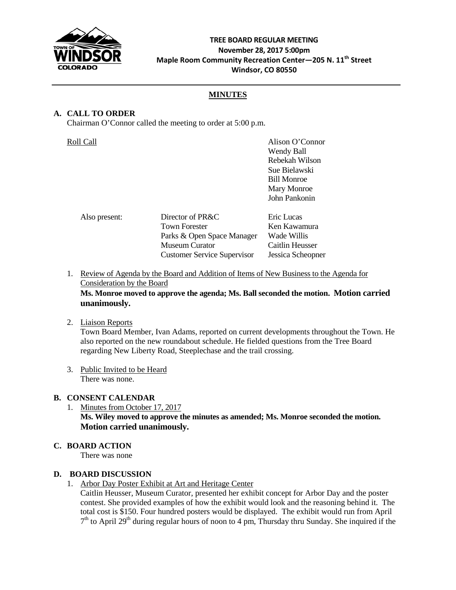

# **TREE BOARD REGULAR MEETING November 28, 2017 5:00pm Maple Room Community Recreation Center—205 N. 11th Street Windsor, CO 80550**

# **MINUTES**

# **A. CALL TO ORDER**

Chairman O'Connor called the meeting to order at 5:00 p.m.

| Roll Call     |                                                                                                                                       | Alison O'Connor<br>Wendy Ball<br>Rebekah Wilson<br>Sue Bielawski<br><b>Bill Monroe</b><br>Mary Monroe<br>John Pankonin |
|---------------|---------------------------------------------------------------------------------------------------------------------------------------|------------------------------------------------------------------------------------------------------------------------|
| Also present: | Director of PR&C<br><b>Town Forester</b><br>Parks & Open Space Manager<br><b>Museum Curator</b><br><b>Customer Service Supervisor</b> | Eric Lucas<br>Ken Kawamura<br>Wade Willis<br>Caitlin Heusser<br>Jessica Scheopner                                      |

1. Review of Agenda by the Board and Addition of Items of New Business to the Agenda for Consideration by the Board

# **Ms. Monroe moved to approve the agenda; Ms. Ball seconded the motion. Motion carried unanimously.**

2. Liaison Reports

Town Board Member, Ivan Adams, reported on current developments throughout the Town. He also reported on the new roundabout schedule. He fielded questions from the Tree Board regarding New Liberty Road, Steeplechase and the trail crossing.

3. Public Invited to be Heard There was none.

# **B. CONSENT CALENDAR**

1. Minutes from October 17, 2017 **Ms. Wiley moved to approve the minutes as amended; Ms. Monroe seconded the motion. Motion carried unanimously.**

# **C. BOARD ACTION**

There was none

### **D. BOARD DISCUSSION**

1. Arbor Day Poster Exhibit at Art and Heritage Center

Caitlin Heusser, Museum Curator, presented her exhibit concept for Arbor Day and the poster contest. She provided examples of how the exhibit would look and the reasoning behind it. The total cost is \$150. Four hundred posters would be displayed. The exhibit would run from April  $7<sup>th</sup>$  to April 29<sup>th</sup> during regular hours of noon to 4 pm, Thursday thru Sunday. She inquired if the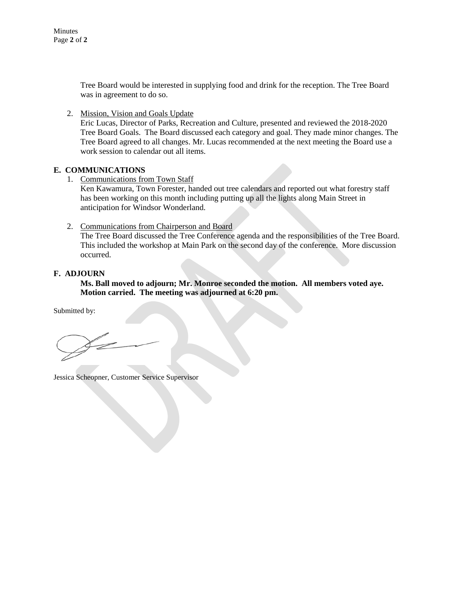Minutes Page **2** of **2**

> Tree Board would be interested in supplying food and drink for the reception. The Tree Board was in agreement to do so.

2. Mission, Vision and Goals Update

Eric Lucas, Director of Parks, Recreation and Culture, presented and reviewed the 2018-2020 Tree Board Goals. The Board discussed each category and goal. They made minor changes. The Tree Board agreed to all changes. Mr. Lucas recommended at the next meeting the Board use a work session to calendar out all items.

#### **E. COMMUNICATIONS**

1. Communications from Town Staff

Ken Kawamura, Town Forester, handed out tree calendars and reported out what forestry staff has been working on this month including putting up all the lights along Main Street in anticipation for Windsor Wonderland.

2. Communications from Chairperson and Board

The Tree Board discussed the Tree Conference agenda and the responsibilities of the Tree Board. This included the workshop at Main Park on the second day of the conference. More discussion occurred.

#### **F. ADJOURN**

**Ms. Ball moved to adjourn; Mr. Monroe seconded the motion. All members voted aye. Motion carried. The meeting was adjourned at 6:20 pm.**

Submitted by:

Jessica Scheopner, Customer Service Supervisor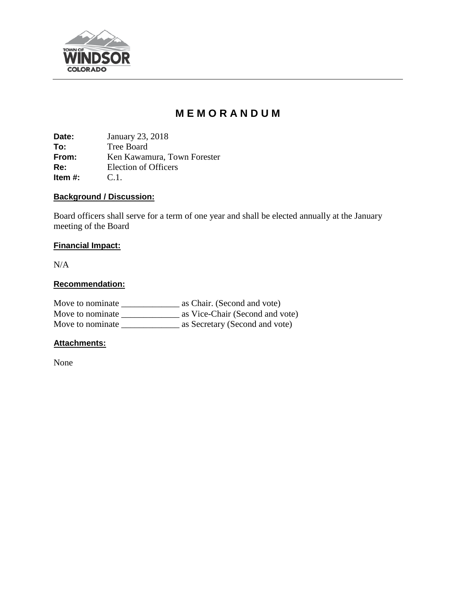

# **M E M O R A N D U M**

**Date:** January 23, 2018 **To:** Tree Board<br> **From:** Ken Kawam **From:** Ken Kawamura, Town Forester<br> **Re:** Election of Officers Election of Officers C.1. **Item #:** 

# **Background / Discussion:**

Board officers shall serve for a term of one year and shall be elected annually at the January meeting of the Board

# **Financial Impact:**

N/A

# **Recommendation:**

| Move to nominate | as Chair. (Second and vote)     |
|------------------|---------------------------------|
| Move to nominate | as Vice-Chair (Second and vote) |
| Move to nominate | as Secretary (Second and vote)  |

# **Attachments:**

None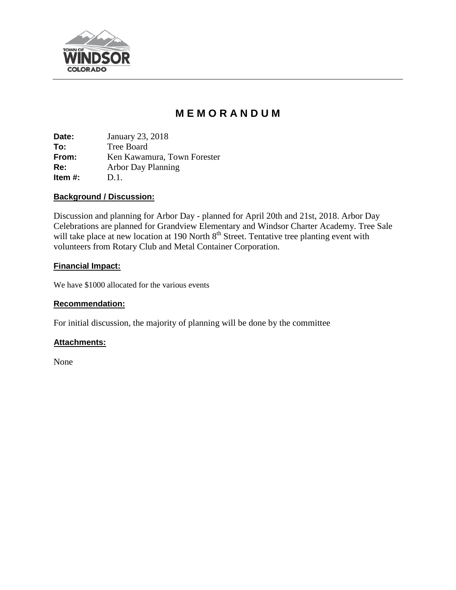

# **M E M O R A N D U M**

**Date:** January 23, 2018 **To:** Tree Board **From:** Ken Kawamura, Town Forester **Re:** Arbor Day Planning **Item #:** D.1.

# **Background / Discussion:**

Discussion and planning for Arbor Day - planned for April 20th and 21st, 2018. Arbor Day Celebrations are planned for Grandview Elementary and Windsor Charter Academy. Tree Sale will take place at new location at 190 North 8<sup>th</sup> Street. Tentative tree planting event with volunteers from Rotary Club and Metal Container Corporation.

# **Financial Impact:**

We have \$1000 allocated for the various events

# **Recommendation:**

For initial discussion, the majority of planning will be done by the committee

# **Attachments:**

None